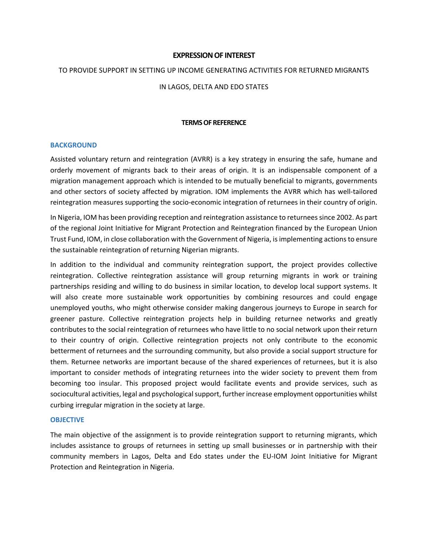## **EXPRESSION OF INTEREST**

### TO PROVIDE SUPPORT IN SETTING UP INCOME GENERATING ACTIVITIES FOR RETURNED MIGRANTS

## IN LAGOS, DELTA AND EDO STATES

### **TERMS OF REFERENCE**

#### **BACKGROUND**

Assisted voluntary return and reintegration (AVRR) is a key strategy in ensuring the safe, humane and orderly movement of migrants back to their areas of origin. It is an indispensable component of a migration management approach which is intended to be mutually beneficial to migrants, governments and other sectors of society affected by migration. IOM implements the AVRR which has well-tailored reintegration measures supporting the socio-economic integration of returnees in their country of origin.

In Nigeria, IOM has been providing reception and reintegration assistance to returnees since 2002. As part of the regional Joint Initiative for Migrant Protection and Reintegration financed by the European Union Trust Fund, IOM, in close collaboration with the Government of Nigeria, is implementing actions to ensure the sustainable reintegration of returning Nigerian migrants.

In addition to the individual and community reintegration support, the project provides collective reintegration. Collective reintegration assistance will group returning migrants in work or training partnerships residing and willing to do business in similar location, to develop local support systems. It will also create more sustainable work opportunities by combining resources and could engage unemployed youths, who might otherwise consider making dangerous journeys to Europe in search for greener pasture. Collective reintegration projects help in building returnee networks and greatly contributes to the social reintegration of returnees who have little to no social network upon their return to their country of origin. Collective reintegration projects not only contribute to the economic betterment of returnees and the surrounding community, but also provide a social support structure for them. Returnee networks are important because of the shared experiences of returnees, but it is also important to consider methods of integrating returnees into the wider society to prevent them from becoming too insular. This proposed project would facilitate events and provide services, such as sociocultural activities, legal and psychological support, further increase employment opportunities whilst curbing irregular migration in the society at large.

#### **OBJECTIVE**

The main objective of the assignment is to provide reintegration support to returning migrants, which includes assistance to groups of returnees in setting up small businesses or in partnership with their community members in Lagos, Delta and Edo states under the EU‐IOM Joint Initiative for Migrant Protection and Reintegration in Nigeria.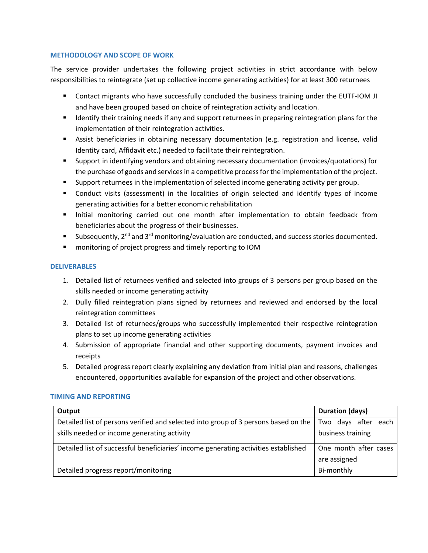# **METHODOLOGY AND SCOPE OF WORK**

The service provider undertakes the following project activities in strict accordance with below responsibilities to reintegrate (set up collective income generating activities) for at least 300 returnees

- Contact migrants who have successfully concluded the business training under the EUTF-IOM JI and have been grouped based on choice of reintegration activity and location.
- **If all identify their training needs if any and support returnees in preparing reintegration plans for the** implementation of their reintegration activities.
- Assist beneficiaries in obtaining necessary documentation (e.g. registration and license, valid Identity card, Affidavit etc.) needed to facilitate their reintegration.
- Support in identifying vendors and obtaining necessary documentation (invoices/quotations) for the purchase of goods and services in a competitive process for the implementation of the project.
- **Support returnees in the implementation of selected income generating activity per group.**
- Conduct visits (assessment) in the localities of origin selected and identify types of income generating activities for a better economic rehabilitation
- Initial monitoring carried out one month after implementation to obtain feedback from beneficiaries about the progress of their businesses.
- **Subsequently, 2<sup>nd</sup> and 3<sup>rd</sup> monitoring/evaluation are conducted, and success stories documented.**
- **EXECT** monitoring of project progress and timely reporting to IOM

## **DELIVERABLES**

- 1. Detailed list of returnees verified and selected into groups of 3 persons per group based on the skills needed or income generating activity
- 2. Dully filled reintegration plans signed by returnees and reviewed and endorsed by the local reintegration committees
- 3. Detailed list of returnees/groups who successfully implemented their respective reintegration plans to set up income generating activities
- 4. Submission of appropriate financial and other supporting documents, payment invoices and receipts
- 5. Detailed progress report clearly explaining any deviation from initial plan and reasons, challenges encountered, opportunities available for expansion of the project and other observations.

### **TIMING AND REPORTING**

| Output                                                                              | <b>Duration (days)</b> |
|-------------------------------------------------------------------------------------|------------------------|
| Detailed list of persons verified and selected into group of 3 persons based on the | Two days after each    |
| skills needed or income generating activity                                         | business training      |
| Detailed list of successful beneficiaries' income generating activities established | One month after cases  |
|                                                                                     | are assigned           |
| Detailed progress report/monitoring                                                 | Bi-monthly             |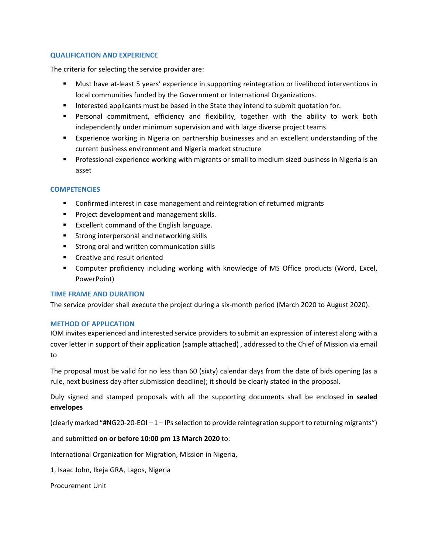# **QUALIFICATION AND EXPERIENCE**

The criteria for selecting the service provider are:

- Must have at-least 5 years' experience in supporting reintegration or livelihood interventions in local communities funded by the Government or International Organizations.
- Interested applicants must be based in the State they intend to submit quotation for.
- Personal commitment, efficiency and flexibility, together with the ability to work both independently under minimum supervision and with large diverse project teams.
- Experience working in Nigeria on partnership businesses and an excellent understanding of the current business environment and Nigeria market structure
- **Professional experience working with migrants or small to medium sized business in Nigeria is an** asset

# **COMPETENCIES**

- **EXTE:** Confirmed interest in case management and reintegration of returned migrants
- **Project development and management skills.**
- **Excellent command of the English language.**
- **EXECTE Strong interpersonal and networking skills**
- **Strong oral and written communication skills**
- **EXECT** Creative and result oriented
- Computer proficiency including working with knowledge of MS Office products (Word, Excel, PowerPoint)

### **TIME FRAME AND DURATION**

The service provider shall execute the project during a six-month period (March 2020 to August 2020).

### **METHOD OF APPLICATION**

IOM invites experienced and interested service providers to submit an expression of interest along with a cover letter in support of their application (sample attached) , addressed to the Chief of Mission via email to

The proposal must be valid for no less than 60 (sixty) calendar days from the date of bids opening (as a rule, next business day after submission deadline); it should be clearly stated in the proposal.

Duly signed and stamped proposals with all the supporting documents shall be enclosed **in sealed envelopes**

(clearly marked "**#**NG20‐20‐EOI – 1 – IPs selection to provide reintegration support to returning migrants")

and submitted **on or before 10:00 pm 13 March 2020** to:

International Organization for Migration, Mission in Nigeria,

1, Isaac John, Ikeja GRA, Lagos, Nigeria

Procurement Unit